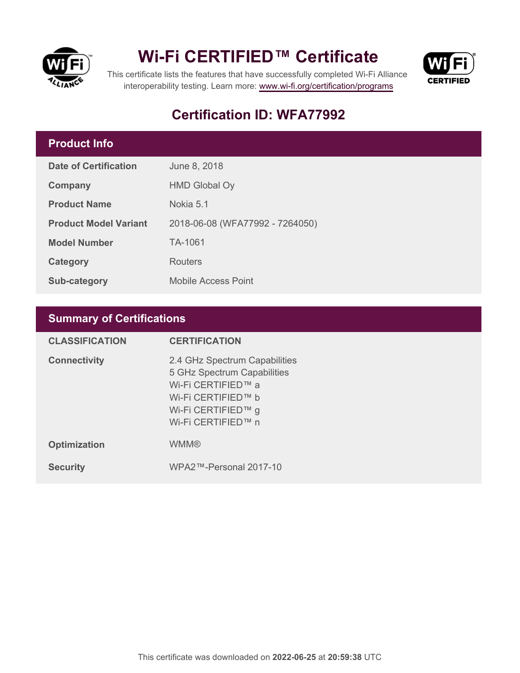

## **Wi-Fi CERTIFIED™ Certificate**



This certificate lists the features that have successfully completed Wi-Fi Alliance interoperability testing. Learn more:<www.wi-fi.org/certification/programs>

## **Certification ID: WFA77992**

### **Product Info**

| Date of Certification        | June 8, 2018                    |
|------------------------------|---------------------------------|
| Company                      | <b>HMD Global Oy</b>            |
| <b>Product Name</b>          | Nokia 5.1                       |
| <b>Product Model Variant</b> | 2018-06-08 (WFA77992 - 7264050) |
| <b>Model Number</b>          | TA-1061                         |
| Category                     | Routers                         |
| Sub-category                 | <b>Mobile Access Point</b>      |

## **Summary of Certifications**

| <b>CLASSIFICATION</b> | <b>CERTIFICATION</b>                                                                                                                                 |
|-----------------------|------------------------------------------------------------------------------------------------------------------------------------------------------|
| <b>Connectivity</b>   | 2.4 GHz Spectrum Capabilities<br>5 GHz Spectrum Capabilities<br>Wi-Fi CERTIFIED™ a<br>Wi-Fi CERTIFIED™ b<br>Wi-Fi CERTIFIED™ g<br>Wi-Fi CERTIFIED™ n |
| <b>Optimization</b>   | <b>WMM®</b>                                                                                                                                          |
| <b>Security</b>       | WPA2™-Personal 2017-10                                                                                                                               |